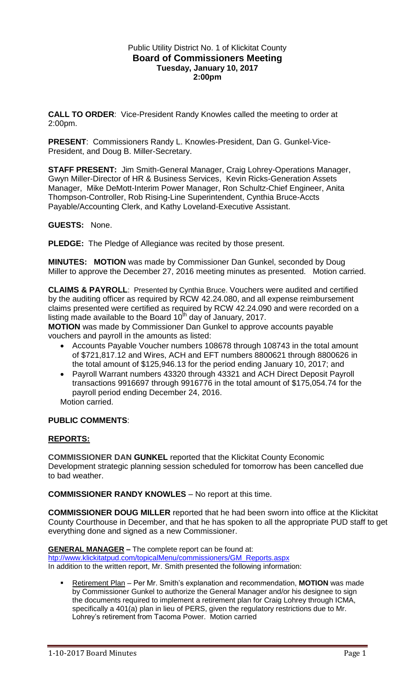## Public Utility District No. 1 of Klickitat County **Board of Commissioners Meeting Tuesday, January 10, 2017 2:00pm**

**CALL TO ORDER**: Vice-President Randy Knowles called the meeting to order at 2:00pm.

**PRESENT**: Commissioners Randy L. Knowles-President, Dan G. Gunkel-Vice-President, and Doug B. Miller-Secretary.

**STAFF PRESENT:** Jim Smith-General Manager, Craig Lohrey-Operations Manager, Gwyn Miller-Director of HR & Business Services, Kevin Ricks-Generation Assets Manager, Mike DeMott-Interim Power Manager, Ron Schultz-Chief Engineer, Anita Thompson-Controller, Rob Rising-Line Superintendent, Cynthia Bruce-Accts Payable/Accounting Clerk, and Kathy Loveland-Executive Assistant.

**GUESTS:** None.

**PLEDGE:** The Pledge of Allegiance was recited by those present.

**MINUTES: MOTION** was made by Commissioner Dan Gunkel, seconded by Doug Miller to approve the December 27, 2016 meeting minutes as presented. Motion carried.

**CLAIMS & PAYROLL**: Presented by Cynthia Bruce. Vouchers were audited and certified by the auditing officer as required by RCW 42.24.080, and all expense reimbursement claims presented were certified as required by RCW 42.24.090 and were recorded on a listing made available to the Board 10<sup>th</sup> day of January, 2017.

**MOTION** was made by Commissioner Dan Gunkel to approve accounts payable vouchers and payroll in the amounts as listed:

- Accounts Payable Voucher numbers 108678 through 108743 in the total amount of \$721,817.12 and Wires, ACH and EFT numbers 8800621 through 8800626 in the total amount of \$125,946.13 for the period ending January 10, 2017; and
- Payroll Warrant numbers 43320 through 43321 and ACH Direct Deposit Payroll transactions 9916697 through 9916776 in the total amount of \$175,054.74 for the payroll period ending December 24, 2016.

Motion carried.

### **PUBLIC COMMENTS**:

## **REPORTS:**

**COMMISSIONER DAN GUNKEL** reported that the Klickitat County Economic Development strategic planning session scheduled for tomorrow has been cancelled due to bad weather.

**COMMISSIONER RANDY KNOWLES** – No report at this time.

**COMMISSIONER DOUG MILLER** reported that he had been sworn into office at the Klickitat County Courthouse in December, and that he has spoken to all the appropriate PUD staff to get everything done and signed as a new Commissioner.

**GENERAL MANAGER –** The complete report can be found at:

[htp://www.klickitatpud.com/topicalMenu/commissioners/GM\\_Reports.aspx](http://www.klickitatpud.com/topicalMenu/commissioners/GM_Reports.aspx)

In addition to the written report, Mr. Smith presented the following information:

 Retirement Plan – Per Mr. Smith's explanation and recommendation, **MOTION** was made by Commissioner Gunkel to authorize the General Manager and/or his designee to sign the documents required to implement a retirement plan for Craig Lohrey through ICMA, specifically a 401(a) plan in lieu of PERS, given the regulatory restrictions due to Mr. Lohrey's retirement from Tacoma Power. Motion carried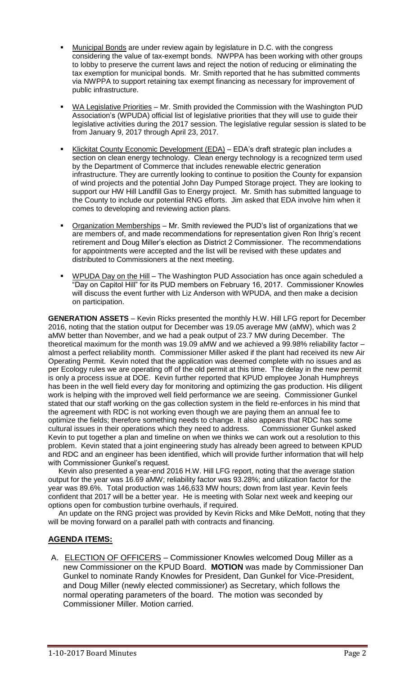- Municipal Bonds are under review again by legislature in D.C. with the congress considering the value of tax-exempt bonds. NWPPA has been working with other groups to lobby to preserve the current laws and reject the notion of reducing or eliminating the tax exemption for municipal bonds. Mr. Smith reported that he has submitted comments via NWPPA to support retaining tax exempt financing as necessary for improvement of public infrastructure.
- WA Legislative Priorities Mr. Smith provided the Commission with the Washington PUD Association's (WPUDA) official list of legislative priorities that they will use to guide their legislative activities during the 2017 session. The legislative regular session is slated to be from January 9, 2017 through April 23, 2017.
- Klickitat County Economic Development (EDA) EDA's draft strategic plan includes a section on clean energy technology. Clean energy technology is a recognized term used by the Department of Commerce that includes renewable electric generation infrastructure. They are currently looking to continue to position the County for expansion of wind projects and the potential John Day Pumped Storage project. They are looking to support our HW Hill Landfill Gas to Energy project. Mr. Smith has submitted language to the County to include our potential RNG efforts. Jim asked that EDA involve him when it comes to developing and reviewing action plans.
- Organization Memberships Mr. Smith reviewed the PUD's list of organizations that we are members of, and made recommendations for representation given Ron Ihrig's recent retirement and Doug Miller's election as District 2 Commissioner. The recommendations for appointments were accepted and the list will be revised with these updates and distributed to Commissioners at the next meeting.
- WPUDA Day on the Hill The Washington PUD Association has once again scheduled a "Day on Capitol Hill" for its PUD members on February 16, 2017. Commissioner Knowles will discuss the event further with Liz Anderson with WPUDA, and then make a decision on participation.

**GENERATION ASSETS** – Kevin Ricks presented the monthly H.W. Hill LFG report for December 2016, noting that the station output for December was 19.05 average MW (aMW), which was 2 aMW better than November, and we had a peak output of 23.7 MW during December. The theoretical maximum for the month was 19.09 aMW and we achieved a 99.98% reliability factor – almost a perfect reliability month. Commissioner Miller asked if the plant had received its new Air Operating Permit. Kevin noted that the application was deemed complete with no issues and as per Ecology rules we are operating off of the old permit at this time. The delay in the new permit is only a process issue at DOE. Kevin further reported that KPUD employee Jonah Humphreys has been in the well field every day for monitoring and optimizing the gas production. His diligent work is helping with the improved well field performance we are seeing. Commissioner Gunkel stated that our staff working on the gas collection system in the field re-enforces in his mind that the agreement with RDC is not working even though we are paying them an annual fee to optimize the fields; therefore something needs to change. It also appears that RDC has some cultural issues in their operations which they need to address. Commissioner Gunkel asked Kevin to put together a plan and timeline on when we thinks we can work out a resolution to this problem. Kevin stated that a joint engineering study has already been agreed to between KPUD and RDC and an engineer has been identified, which will provide further information that will help with Commissioner Gunkel's request.

 Kevin also presented a year-end 2016 H.W. Hill LFG report, noting that the average station output for the year was 16.69 aMW; reliability factor was 93.28%; and utilization factor for the year was 89.6%. Total production was 146,633 MW hours; down from last year. Kevin feels confident that 2017 will be a better year. He is meeting with Solar next week and keeping our options open for combustion turbine overhauls, if required.

 An update on the RNG project was provided by Kevin Ricks and Mike DeMott, noting that they will be moving forward on a parallel path with contracts and financing.

# **AGENDA ITEMS:**

A. ELECTION OF OFFICERS – Commissioner Knowles welcomed Doug Miller as a new Commissioner on the KPUD Board. **MOTION** was made by Commissioner Dan Gunkel to nominate Randy Knowles for President, Dan Gunkel for Vice-President, and Doug Miller (newly elected commissioner) as Secretary, which follows the normal operating parameters of the board. The motion was seconded by Commissioner Miller. Motion carried.